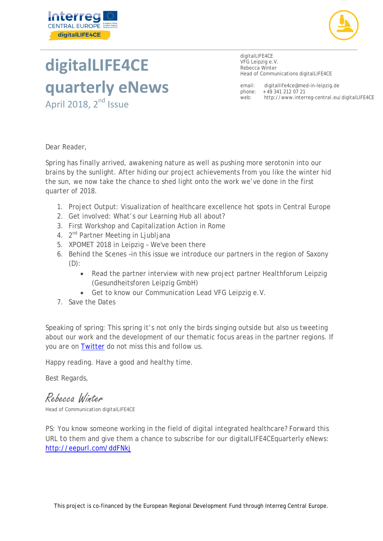



# **digitalLIFE4CE quarterly eNews**

April 2018, 2<sup>nd</sup> Issue

digitalLIFE4CE VFG Leipzig e.V. Rebecca Winter Head of Communications digitalLIFE4CE

email: [digitallife4ce@med-in-leipzig.de](mailto:digitallife4ce@med-in-leipzig.de) phone: +49 341 212 07 21<br>web: http://www.inter <http://www.interreg-central.eu/digitalLIFE4CE>

Dear Reader,

Spring has finally arrived, awakening nature as well as pushing more serotonin into our brains by the sunlight. After hiding our project achievements from you like the winter hid the sun, we now take the chance to shed light onto the work we've done in the first quarter of 2018.

- 1. Project Output: Visualization of healthcare excellence hot spots in Central Europe
- 2. Get involved: What's our Learning Hub all about?
- 3. First Workshop and Capitalization Action in Rome
- 4. 2<sup>nd</sup> Partner Meeting in Ljubljana
- 5. XPOMET 2018 in Leipzig We've been there
- 6. Behind the Scenes –in this issue we introduce our partners in the region of Saxony (D):
	- Read the partner interview with new project partner Healthforum Leipzig (Gesundheitsforen Leipzig GmbH)
	- Get to know our Communication Lead VFG Leipzig e.V.
- 7. Save the Dates

Speaking of spring: This spring it's not only the birds singing outside but also us tweeting about our work and the development of our thematic focus areas in the partner regions. If you are on [Twitter](https://twitter.com/digitalLIFE4ce) do not miss this and follow us.

Happy reading. Have a good and healthy time.

Best Regards,

Rebecca Winter

Head of Communication digitalLIFE4CE

PS: You know someone working in the field of digital integrated healthcare? Forward this URL to them and give them a chance to subscribe for our digitalLIFE4CEquarterly eNews: <http://eepurl.com/ddFNkj>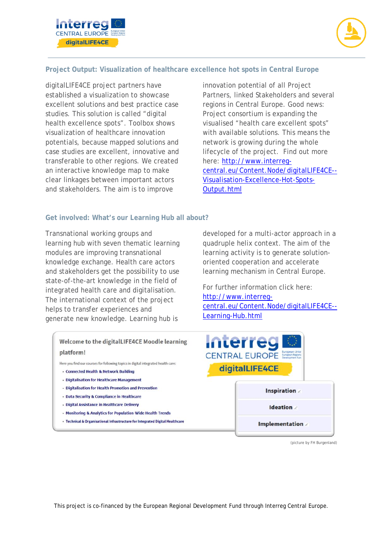



## **Project Output: Visualization of healthcare excellence hot spots in Central Europe**

digitalLIFE4CE project partners have established a visualization to showcase excellent solutions and best practice case studies. This solution is called "digital health excellence spots". Toolbox shows visualization of healthcare innovation potentials, because mapped solutions and case studies are excellent, innovative and transferable to other regions. We created an interactive knowledge map to make clear linkages between important actors and stakeholders. The aim is to improve

innovation potential of all Project Partners, linked Stakeholders and several regions in Central Europe. Good news: Project consortium is expanding the visualised "health care excellent spots" with available solutions. This means the network is growing during the whole lifecycle of the project. Find out more here: [http://www.interreg](http://www.interreg-central.eu/Content.Node/digitalLIFE4CE--Visualisation-Excellence-Hot-Spots-Output.html)[central.eu/Content.Node/digitalLIFE4CE--](http://www.interreg-central.eu/Content.Node/digitalLIFE4CE--Visualisation-Excellence-Hot-Spots-Output.html) [Visualisation-Excellence-Hot-Spots-](http://www.interreg-central.eu/Content.Node/digitalLIFE4CE--Visualisation-Excellence-Hot-Spots-Output.html)[Output.html](http://www.interreg-central.eu/Content.Node/digitalLIFE4CE--Visualisation-Excellence-Hot-Spots-Output.html)

#### **Get involved: What's our Learning Hub all about?**

Transnational working groups and learning hub with seven thematic learning modules are improving transnational knowledge exchange. Health care actors and stakeholders get the possibility to use state-of-the-art knowledge in the field of integrated health care and digitalisation. The international context of the project helps to transfer experiences and generate new knowledge. Learning hub is

> Welcome to the digitalLIFE4CE Moodle learning platform!

Here you find our courses for following topics in digital integrated health care:

- · Connected Health & Network Building
- · Digitalisation for Healthcare Management
- Digitalisation for Health Promotion and Prevention
- · Data Security & Compliance in Healthcare
- · Digital Assistance in Healthcare Delivery
- Monitoring & Analytics for Population-Wide Health Trends
- Technical & Organisational Infrastructure for Integrated Digital Healthcare

developed for a multi-actor approach in a quadruple helix context. The aim of the learning activity is to generate solutionoriented cooperation and accelerate learning mechanism in Central Europe.

For further information click here: [http://www.interreg](http://www.interreg-central.eu/Content.Node/digitalLIFE4CE--Learning-Hub.html)[central.eu/Content.Node/digitalLIFE4CE--](http://www.interreg-central.eu/Content.Node/digitalLIFE4CE--Learning-Hub.html) [Learning-Hub.html](http://www.interreg-central.eu/Content.Node/digitalLIFE4CE--Learning-Hub.html)



(picture by FH Burgenland)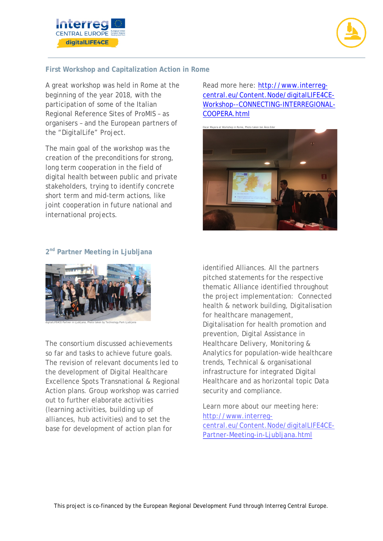



# **First Workshop and Capitalization Action in Rome**

A great workshop was held in Rome at the beginning of the year 2018, with the participation of some of the Italian Regional Reference Sites of ProMIS – as organisers – and the European partners of the "DigitalLife" Project.

The main goal of the workshop was the creation of the preconditions for strong, long term cooperation in the field of digital health between public and private stakeholders, trying to identify concrete short term and mid-term actions, like joint cooperation in future national and international projects.

Read more here: [http://www.interreg](http://www.interreg-central.eu/Content.Node/digitalLIFE4CE-Workshop--CONNECTING-INTERREGIONAL-COOPERA.html)[central.eu/Content.Node/digitalLIFE4CE-](http://www.interreg-central.eu/Content.Node/digitalLIFE4CE-Workshop--CONNECTING-INTERREGIONAL-COOPERA.html)[Workshop--CONNECTING-INTERREGIONAL-](http://www.interreg-central.eu/Content.Node/digitalLIFE4CE-Workshop--CONNECTING-INTERREGIONAL-COOPERA.html)[COOPERA.html](http://www.interreg-central.eu/Content.Node/digitalLIFE4CE-Workshop--CONNECTING-INTERREGIONAL-COOPERA.html)





#### **2nd Partner Meeting in Ljubljana**



digitalLIFE4CE Partner in Ljubljana, Photo taken by Technology Park Ljubljana

The consortium discussed achievements so far and tasks to achieve future goals. The revision of relevant documents led to the development of Digital Healthcare Excellence Spots Transnational & Regional Action plans. Group workshop was carried out to further elaborate activities (learning activities, building up of alliances, hub activities) and to set the base for development of action plan for

identified Alliances. All the partners pitched statements for the respective thematic Alliance identified throughout the project implementation: Connected health & network building, Digitalisation for healthcare management, Digitalisation for health promotion and prevention, Digital Assistance in Healthcare Delivery, Monitoring & Analytics for population-wide healthcare trends, Technical & organisational infrastructure for integrated Digital Healthcare and as horizontal topic Data security and compliance.

Learn more about our meeting here: [http://www.interreg](http://www.interreg-central.eu/Content.Node/digitalLIFE4CE-Partner-Meeting-in-Ljubljana.html)[central.eu/Content.Node/digitalLIFE4CE-](http://www.interreg-central.eu/Content.Node/digitalLIFE4CE-Partner-Meeting-in-Ljubljana.html)[Partner-Meeting-in-Ljubljana.html](http://www.interreg-central.eu/Content.Node/digitalLIFE4CE-Partner-Meeting-in-Ljubljana.html)